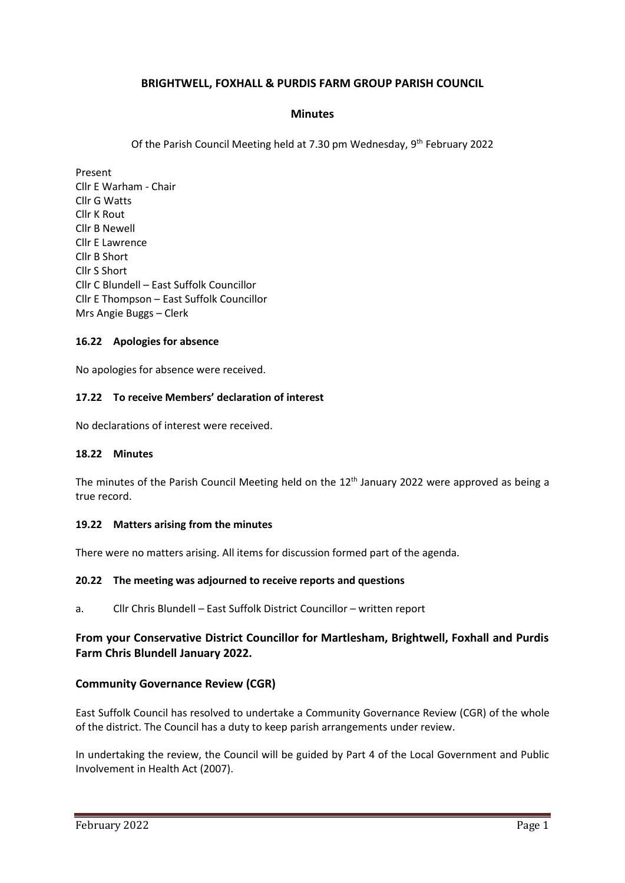# **BRIGHTWELL, FOXHALL & PURDIS FARM GROUP PARISH COUNCIL**

### **Minutes**

Of the Parish Council Meeting held at 7.30 pm Wednesday, 9<sup>th</sup> February 2022

Present Cllr E Warham - Chair Cllr G Watts Cllr K Rout Cllr B Newell Cllr E Lawrence Cllr B Short Cllr S Short Cllr C Blundell – East Suffolk Councillor Cllr E Thompson – East Suffolk Councillor Mrs Angie Buggs – Clerk

### **16.22 Apologies for absence**

No apologies for absence were received.

### **17.22 To receive Members' declaration of interest**

No declarations of interest were received.

### **18.22 Minutes**

The minutes of the Parish Council Meeting held on the 12<sup>th</sup> January 2022 were approved as being a true record.

### **19.22 Matters arising from the minutes**

There were no matters arising. All items for discussion formed part of the agenda.

### **20.22 The meeting was adjourned to receive reports and questions**

a. Cllr Chris Blundell – East Suffolk District Councillor – written report

# **From your Conservative District Councillor for Martlesham, Brightwell, Foxhall and Purdis Farm Chris Blundell January 2022.**

### **Community Governance Review (CGR)**

East Suffolk Council has resolved to undertake a Community Governance Review (CGR) of the whole of the district. The Council has a duty to keep parish arrangements under review.

In undertaking the review, the Council will be guided by Part 4 of the Local Government and Public Involvement in Health Act (2007).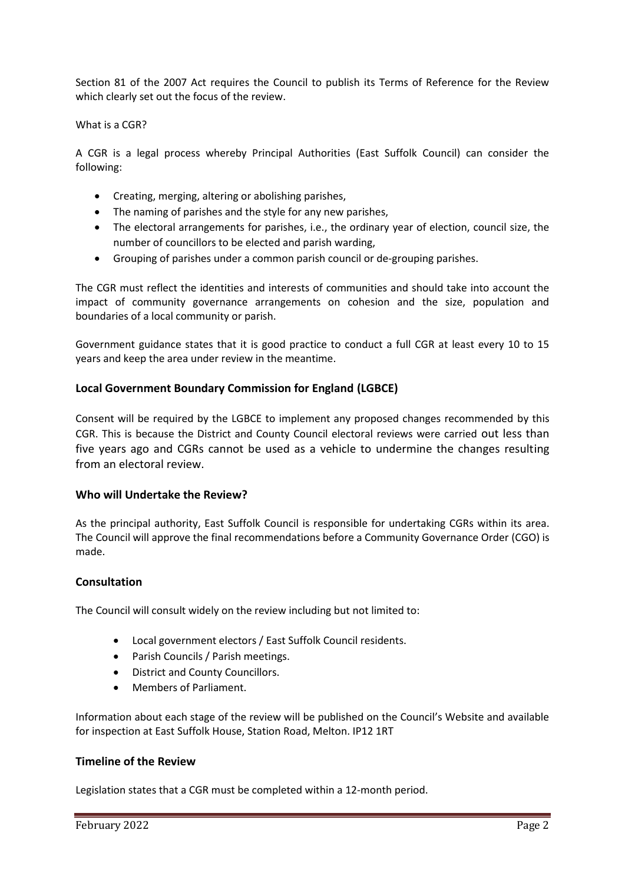Section 81 of the 2007 Act requires the Council to publish its Terms of Reference for the Review which clearly set out the focus of the review.

### What is a CGR?

A CGR is a legal process whereby Principal Authorities (East Suffolk Council) can consider the following:

- Creating, merging, altering or abolishing parishes,
- The naming of parishes and the style for any new parishes,
- The electoral arrangements for parishes, i.e., the ordinary year of election, council size, the number of councillors to be elected and parish warding,
- Grouping of parishes under a common parish council or de-grouping parishes.

The CGR must reflect the identities and interests of communities and should take into account the impact of community governance arrangements on cohesion and the size, population and boundaries of a local community or parish.

Government guidance states that it is good practice to conduct a full CGR at least every 10 to 15 years and keep the area under review in the meantime.

# **Local Government Boundary Commission for England (LGBCE)**

Consent will be required by the LGBCE to implement any proposed changes recommended by this CGR. This is because the District and County Council electoral reviews were carried out less than five years ago and CGRs cannot be used as a vehicle to undermine the changes resulting from an electoral review.

# **Who will Undertake the Review?**

As the principal authority, East Suffolk Council is responsible for undertaking CGRs within its area. The Council will approve the final recommendations before a Community Governance Order (CGO) is made.

# **Consultation**

The Council will consult widely on the review including but not limited to:

- Local government electors / East Suffolk Council residents.
- Parish Councils / Parish meetings.
- District and County Councillors.
- Members of Parliament.

Information about each stage of the review will be published on the Council's Website and available for inspection at East Suffolk House, Station Road, Melton. IP12 1RT

### **Timeline of the Review**

Legislation states that a CGR must be completed within a 12-month period.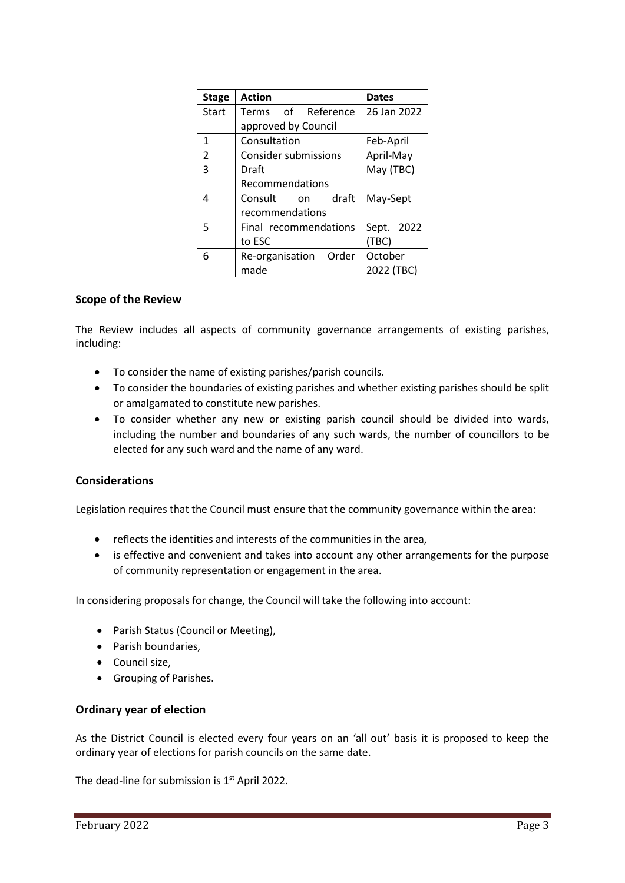| <b>Stage</b>            | <b>Action</b>               | <b>Dates</b> |
|-------------------------|-----------------------------|--------------|
| Start                   | Terms of Reference          | 26 Jan 2022  |
|                         | approved by Council         |              |
| 1                       | Consultation                | Feb-April    |
| $\overline{\mathbf{c}}$ | <b>Consider submissions</b> | April-May    |
| 3                       | Draft                       | May (TBC)    |
|                         | Recommendations             |              |
| 4                       | draft<br>Consult<br>on      | May-Sept     |
|                         | recommendations             |              |
| 5                       | Final recommendations       | Sept. 2022   |
|                         | to ESC                      | (TBC)        |
| 6                       | Re-organisation Order       | October      |
|                         | made                        | 2022 (TBC)   |

### **Scope of the Review**

The Review includes all aspects of community governance arrangements of existing parishes, including:

- To consider the name of existing parishes/parish councils.
- To consider the boundaries of existing parishes and whether existing parishes should be split or amalgamated to constitute new parishes.
- To consider whether any new or existing parish council should be divided into wards, including the number and boundaries of any such wards, the number of councillors to be elected for any such ward and the name of any ward.

### **Considerations**

Legislation requires that the Council must ensure that the community governance within the area:

- reflects the identities and interests of the communities in the area,
- is effective and convenient and takes into account any other arrangements for the purpose of community representation or engagement in the area.

In considering proposals for change, the Council will take the following into account:

- Parish Status (Council or Meeting),
- Parish boundaries,
- Council size,
- Grouping of Parishes.

# **Ordinary year of election**

As the District Council is elected every four years on an 'all out' basis it is proposed to keep the ordinary year of elections for parish councils on the same date.

The dead-line for submission is  $1<sup>st</sup>$  April 2022.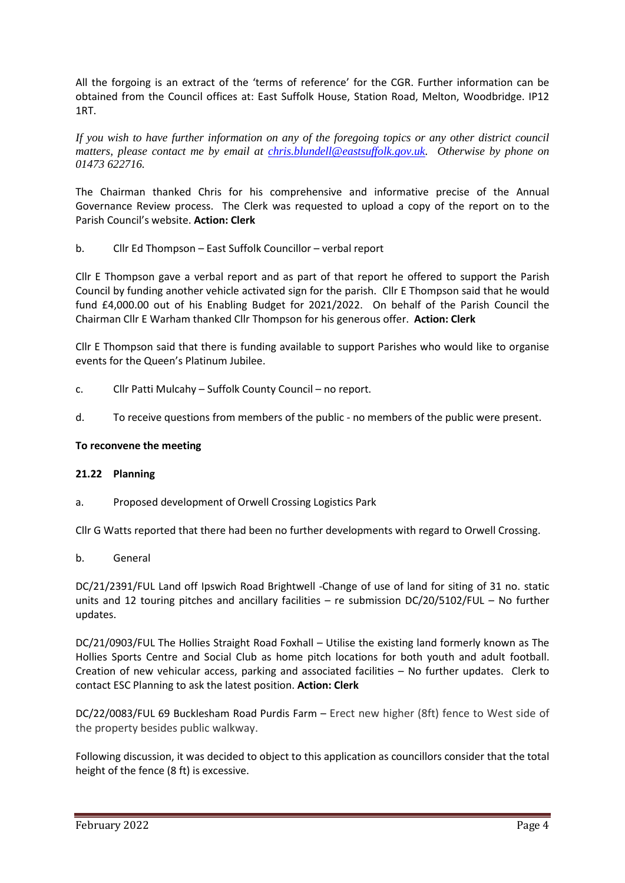All the forgoing is an extract of the 'terms of reference' for the CGR. Further information can be obtained from the Council offices at: East Suffolk House, Station Road, Melton, Woodbridge. IP12 1RT.

*If you wish to have further information on any of the foregoing topics or any other district council matters, please contact me by email at [chris.blundell@eastsuffolk.gov.uk.](mailto:chris.blundell@eastsuffolk.gov.uk) Otherwise by phone on 01473 622716.*

The Chairman thanked Chris for his comprehensive and informative precise of the Annual Governance Review process. The Clerk was requested to upload a copy of the report on to the Parish Council's website. **Action: Clerk**

b. Cllr Ed Thompson – East Suffolk Councillor – verbal report

Cllr E Thompson gave a verbal report and as part of that report he offered to support the Parish Council by funding another vehicle activated sign for the parish. Cllr E Thompson said that he would fund £4,000.00 out of his Enabling Budget for 2021/2022. On behalf of the Parish Council the Chairman Cllr E Warham thanked Cllr Thompson for his generous offer. **Action: Clerk**

Cllr E Thompson said that there is funding available to support Parishes who would like to organise events for the Queen's Platinum Jubilee.

- c. Cllr Patti Mulcahy Suffolk County Council no report.
- d. To receive questions from members of the public no members of the public were present.

# **To reconvene the meeting**

# **21.22 Planning**

a. Proposed development of Orwell Crossing Logistics Park

Cllr G Watts reported that there had been no further developments with regard to Orwell Crossing.

b. General

DC/21/2391/FUL Land off Ipswich Road Brightwell -Change of use of land for siting of 31 no. static units and 12 touring pitches and ancillary facilities – re submission DC/20/5102/FUL – No further updates.

DC/21/0903/FUL The Hollies Straight Road Foxhall – Utilise the existing land formerly known as The Hollies Sports Centre and Social Club as home pitch locations for both youth and adult football. Creation of new vehicular access, parking and associated facilities – No further updates. Clerk to contact ESC Planning to ask the latest position. **Action: Clerk**

DC/22/0083/FUL 69 Bucklesham Road Purdis Farm – Erect new higher (8ft) fence to West side of the property besides public walkway.

Following discussion, it was decided to object to this application as councillors consider that the total height of the fence (8 ft) is excessive.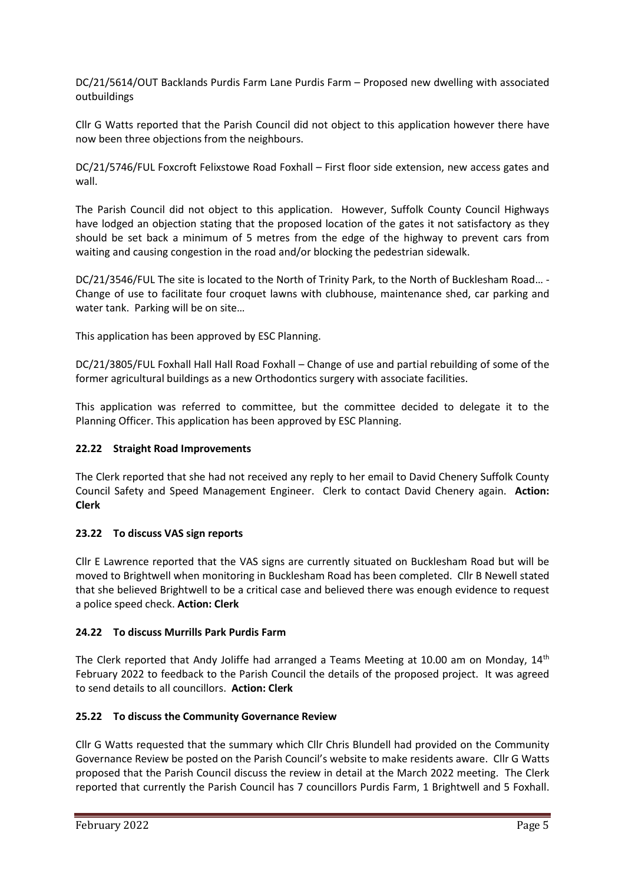DC/21/5614/OUT Backlands Purdis Farm Lane Purdis Farm – Proposed new dwelling with associated outbuildings

Cllr G Watts reported that the Parish Council did not object to this application however there have now been three objections from the neighbours.

DC/21/5746/FUL Foxcroft Felixstowe Road Foxhall – First floor side extension, new access gates and wall.

The Parish Council did not object to this application. However, Suffolk County Council Highways have lodged an objection stating that the proposed location of the gates it not satisfactory as they should be set back a minimum of 5 metres from the edge of the highway to prevent cars from waiting and causing congestion in the road and/or blocking the pedestrian sidewalk.

DC/21/3546/FUL The site is located to the North of Trinity Park, to the North of Bucklesham Road… - Change of use to facilitate four croquet lawns with clubhouse, maintenance shed, car parking and water tank. Parking will be on site…

This application has been approved by ESC Planning.

DC/21/3805/FUL Foxhall Hall Hall Road Foxhall – Change of use and partial rebuilding of some of the former agricultural buildings as a new Orthodontics surgery with associate facilities.

This application was referred to committee, but the committee decided to delegate it to the Planning Officer. This application has been approved by ESC Planning.

# **22.22 Straight Road Improvements**

The Clerk reported that she had not received any reply to her email to David Chenery Suffolk County Council Safety and Speed Management Engineer. Clerk to contact David Chenery again. **Action: Clerk**

### **23.22 To discuss VAS sign reports**

Cllr E Lawrence reported that the VAS signs are currently situated on Bucklesham Road but will be moved to Brightwell when monitoring in Bucklesham Road has been completed. Cllr B Newell stated that she believed Brightwell to be a critical case and believed there was enough evidence to request a police speed check. **Action: Clerk**

# **24.22 To discuss Murrills Park Purdis Farm**

The Clerk reported that Andy Joliffe had arranged a Teams Meeting at 10.00 am on Monday,  $14<sup>th</sup>$ February 2022 to feedback to the Parish Council the details of the proposed project. It was agreed to send details to all councillors. **Action: Clerk**

# **25.22 To discuss the Community Governance Review**

Cllr G Watts requested that the summary which Cllr Chris Blundell had provided on the Community Governance Review be posted on the Parish Council's website to make residents aware. Cllr G Watts proposed that the Parish Council discuss the review in detail at the March 2022 meeting. The Clerk reported that currently the Parish Council has 7 councillors Purdis Farm, 1 Brightwell and 5 Foxhall.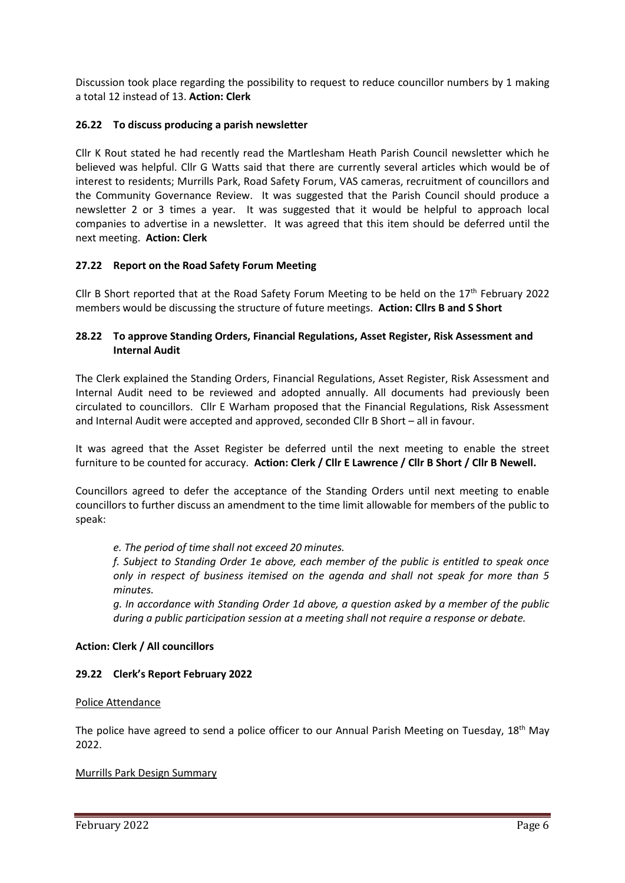Discussion took place regarding the possibility to request to reduce councillor numbers by 1 making a total 12 instead of 13. **Action: Clerk**

### **26.22 To discuss producing a parish newsletter**

Cllr K Rout stated he had recently read the Martlesham Heath Parish Council newsletter which he believed was helpful. Cllr G Watts said that there are currently several articles which would be of interest to residents; Murrills Park, Road Safety Forum, VAS cameras, recruitment of councillors and the Community Governance Review. It was suggested that the Parish Council should produce a newsletter 2 or 3 times a year. It was suggested that it would be helpful to approach local companies to advertise in a newsletter. It was agreed that this item should be deferred until the next meeting. **Action: Clerk**

### **27.22 Report on the Road Safety Forum Meeting**

Cllr B Short reported that at the Road Safety Forum Meeting to be held on the  $17<sup>th</sup>$  February 2022 members would be discussing the structure of future meetings. **Action: Cllrs B and S Short**

### **28.22 To approve Standing Orders, Financial Regulations, Asset Register, Risk Assessment and Internal Audit**

The Clerk explained the Standing Orders, Financial Regulations, Asset Register, Risk Assessment and Internal Audit need to be reviewed and adopted annually. All documents had previously been circulated to councillors. Cllr E Warham proposed that the Financial Regulations, Risk Assessment and Internal Audit were accepted and approved, seconded Cllr B Short – all in favour.

It was agreed that the Asset Register be deferred until the next meeting to enable the street furniture to be counted for accuracy. **Action: Clerk / Cllr E Lawrence / Cllr B Short / Cllr B Newell.**

Councillors agreed to defer the acceptance of the Standing Orders until next meeting to enable councillors to further discuss an amendment to the time limit allowable for members of the public to speak:

*e. The period of time shall not exceed 20 minutes.* 

*f. Subject to Standing Order 1e above, each member of the public is entitled to speak once only in respect of business itemised on the agenda and shall not speak for more than 5 minutes.* 

*g. In accordance with Standing Order 1d above, a question asked by a member of the public during a public participation session at a meeting shall not require a response or debate.*

### **Action: Clerk / All councillors**

# **29.22 Clerk's Report February 2022**

### Police Attendance

The police have agreed to send a police officer to our Annual Parish Meeting on Tuesday, 18<sup>th</sup> May 2022.

### Murrills Park Design Summary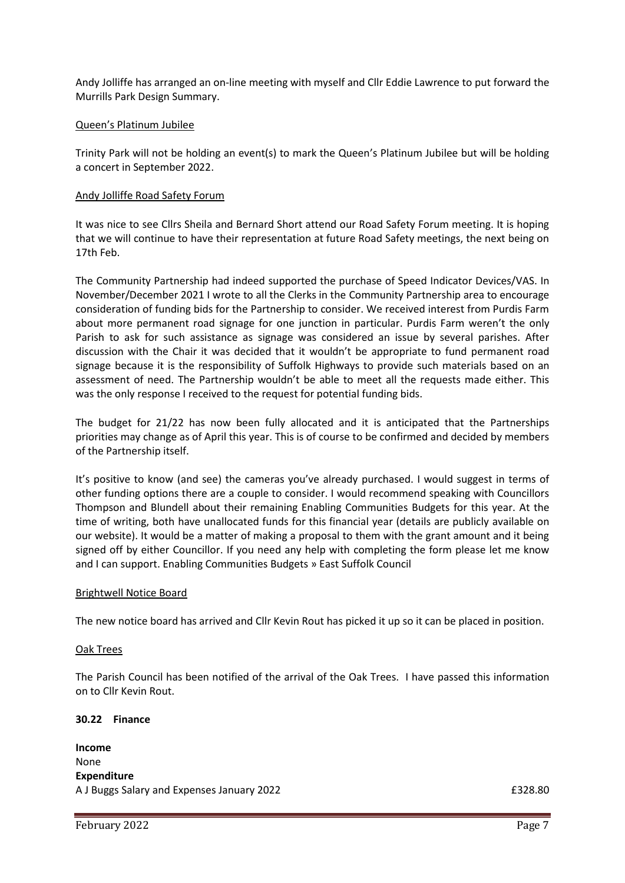Andy Jolliffe has arranged an on-line meeting with myself and Cllr Eddie Lawrence to put forward the Murrills Park Design Summary.

### Queen's Platinum Jubilee

Trinity Park will not be holding an event(s) to mark the Queen's Platinum Jubilee but will be holding a concert in September 2022.

### Andy Jolliffe Road Safety Forum

It was nice to see Cllrs Sheila and Bernard Short attend our Road Safety Forum meeting. It is hoping that we will continue to have their representation at future Road Safety meetings, the next being on 17th Feb.

The Community Partnership had indeed supported the purchase of Speed Indicator Devices/VAS. In November/December 2021 I wrote to all the Clerks in the Community Partnership area to encourage consideration of funding bids for the Partnership to consider. We received interest from Purdis Farm about more permanent road signage for one junction in particular. Purdis Farm weren't the only Parish to ask for such assistance as signage was considered an issue by several parishes. After discussion with the Chair it was decided that it wouldn't be appropriate to fund permanent road signage because it is the responsibility of Suffolk Highways to provide such materials based on an assessment of need. The Partnership wouldn't be able to meet all the requests made either. This was the only response I received to the request for potential funding bids.

The budget for 21/22 has now been fully allocated and it is anticipated that the Partnerships priorities may change as of April this year. This is of course to be confirmed and decided by members of the Partnership itself.

It's positive to know (and see) the cameras you've already purchased. I would suggest in terms of other funding options there are a couple to consider. I would recommend speaking with Councillors Thompson and Blundell about their remaining Enabling Communities Budgets for this year. At the time of writing, both have unallocated funds for this financial year (details are publicly available on our website). It would be a matter of making a proposal to them with the grant amount and it being signed off by either Councillor. If you need any help with completing the form please let me know and I can support. [Enabling Communities Budgets » East Suffolk Council](https://www.eastsuffolk.gov.uk/community/community-grants-and-funding/enabling-communities-budgets/)

### Brightwell Notice Board

The new notice board has arrived and Cllr Kevin Rout has picked it up so it can be placed in position.

### Oak Trees

The Parish Council has been notified of the arrival of the Oak Trees. I have passed this information on to Cllr Kevin Rout.

### **30.22 Finance**

**Income** None **Expenditure** A J Buggs Salary and Expenses January 2022 **EXPENSION CONSUMING A SAMPLE 2018**.